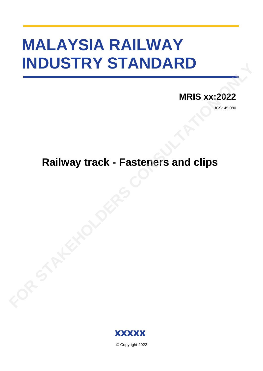# **MALAYSIA RAILWAY INDUSTRY STANDARD FOR STAKE STANDARD**<br>
MRIS xx:2022

## **MRIS xx:2022**

ICS: 45.080

# **Railway track - Fasteners and clips**



© Copyright 2022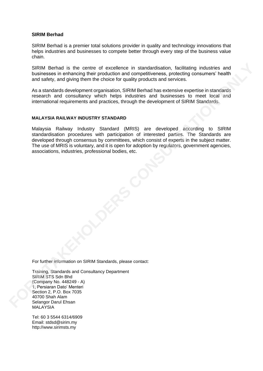### **SIRIM Berhad**

SIRIM Berhad is a premier total solutions provider in quality and technology innovations that helps industries and businesses to compete better through every step of the business value chain.

SIRIM Berhad is the centre of excellence in standardisation, facilitating industries and businesses in enhancing their production and competitiveness, protecting consumers' health and safety, and giving them the choice for quality products and services.

As a standards development organisation, SIRIM Berhad has extensive expertise in standards research and consultancy which helps industries and businesses to meet local and international requirements and practices, through the development of SIRIM Standards.

### **MALAYSIA RAILWAY INDUSTRY STANDARD**

Malaysia Railway Industry Standard (MRIS) are developed according to SIRIM standardisation procedures with participation of interested parties. The Standards are developed through consensus by committees, which consist of experts in the subject matter. The use of MRIS is voluntary, and it is open for adoption by regulators, government agencies, associations, industries, professional bodies, etc. SIRIM Bental is the control of excellence in a standardisation, inclining industries and<br>businesses in enhancing their production and competitiveness, protecting including<br>and safety, and giving them the choice for quality

For further information on SIRIM Standards, please contact:

Training, Standards and Consultancy Department SIRIM STS Sdn Bhd (Company No. 448249 - A) 1, Persiaran Dato' Menteri Section 2, P.O. Box 7035 40700 Shah Alam Selangor Darul Ehsan **MALAYSIA** 

Tel: 60 3 5544 6314/6909 Email: stdsd@sirim.my http://www.sirimsts.my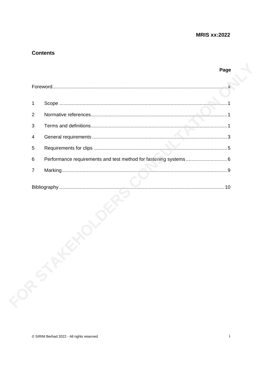Page

### **Contents**

|       | 1              |  |
|-------|----------------|--|
|       | $\overline{2}$ |  |
|       | 3              |  |
|       | 4              |  |
|       | 5              |  |
|       | $\,6$          |  |
|       | $\overline{7}$ |  |
|       |                |  |
| FOR 5 |                |  |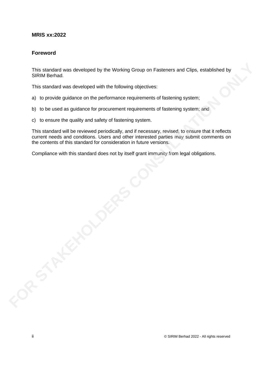### **Foreword**

This standard was developed by the Working Group on Fasteners and Clips, established by SIRIM Berhad.

This standard was developed with the following objectives:

- a) to provide guidance on the performance requirements of fastening system;
- b) to be used as guidance for procurement requirements of fastening system; and
- c) to ensure the quality and safety of fastening system.

This standard will be reviewed periodically, and if necessary, revised, to ensure that it reflects current needs and conditions. Users and other interested parties may submit comments on the contents of this standard for consideration in future versions. This siandard was developed by the Working Group on Fasteners and Clips, established by<br>SIRIM Bernad.<br>This standard was developed with the following objectives:<br>a) to provide guidance on the performance requirements of fas

Compliance with this standard does not by itself grant immunity from legal obligations.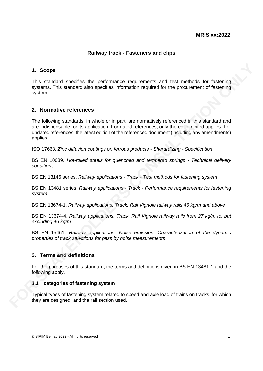### **Railway track - Fasteners and clips**

### **1. Scope**

This standard specifies the performance requirements and test methods for fastening systems. This standard also specifies information required for the procurement of fastening system.

### **2. Normative references**

The following standards, in whole or in part, are normatively referenced in this standard and are indispensable for its application. For dated references, only the edition cited applies. For undated references, the latest edition of the referenced document (including any amendments) applies. 1. Scope<br>
This standard specifies the performance requirements and test methods for fastening<br>
systems. This standard size specifies information required for the procurement of fastening<br>
system<br>
2. Normative references<br>
T

ISO 17668, *Zinc diffusion coatings on ferrous products - Sherardizing - Specification*

BS EN 10089, *Hot-rolled steels for quenched and tempered springs - Technical delivery conditions*

BS EN 13146 series, *Railway applications - Track - Test methods for fastening system*

BS EN 13481 series, *Railway applications - Track - Performance requirements for fastening system*

BS EN 13674-1, *Railway applications. Track. Rail Vignole railway rails 46 kg/m and above*

BS EN 13674-4, *Railway applications. Track. Rail Vignole railway rails from 27 kg/m to, but excluding 46 kg/m*

BS EN 15461, *Railway applications. Noise emission. Characterization of the dynamic properties of track selections for pass by noise measurements*

### **3. Terms and definitions**

For the purposes of this standard, the terms and definitions given in BS EN 13481-1 and the following apply.

### **3.1 categories of fastening system**

Typical types of fastening system related to speed and axle load of trains on tracks, for which they are designed, and the rail section used.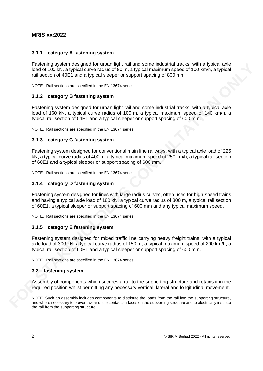### **3.1.1 category A fastening system**

Fastening system designed for urban light rail and some industrial tracks, with a typical axle load of 100 kN, a typical curve radius of 80 m, a typical maximum speed of 100 km/h, a typical rail section of 40E1 and a typical sleeper or support spacing of 800 mm.

NOTE. Rail sections are specified in the EN 13674 series.

### **3.1.2 category B fastening system**

Fastening system designed for urban light rail and some industrial tracks, with a typical axle load of 160 kN, a typical curve radius of 100 m, a typical maximum speed of 140 km/h, a typical rail section of 54E1 and a typical sleeper or support spacing of 600 mm.

NOTE. Rail sections are specified in the EN 13674 series.

### **3.1.3 category C fastening system**

Fastening system designed for conventional main line railways, with a typical axle load of 225 kN, a typical curve radius of 400 m, a typical maximum speed of 250 km/h, a typical rail section of 60E1 and a typical sleeper or support spacing of 600 mm.

NOTE. Rail sections are specified in the EN 13674 series.

### **3.1.4 category D fastening system**

Fastening system designed for lines with large radius curves, often used for high-speed trains and having a typical axle load of 180 kN, a typical curve radius of 800 m, a typical rail section of 60E1, a typical sleeper or support spacing of 600 mm and any typical maximum speed. Fastering system designed for unhan light rail and some industrial racks, with a typical axis and the contact surfaces on the contact surfaces on the contact surfaces of the contact surfaces of the contact surfaces of the

NOTE. Rail sections are specified in the EN 13674 series.

### **3.1.5 category E fastening system**

Fastening system designed for mixed traffic line carrying heavy freight trains, with a typical axle load of 300 kN, a typical curve radius of 150 m, a typical maximum speed of 200 km/h, a typical rail section of 60E1 and a typical sleeper or support spacing of 600 mm.

NOTE. Rail sections are specified in the EN 13674 series.

### **3.2 fastening system**

Assembly of components which secures a rail to the supporting structure and retains it in the required position whilst permitting any necessary vertical, lateral and longitudinal movement.

NOTE. Such an assembly includes components to distribute the loads from the rail into the supporting structure, the rail from the supporting structure.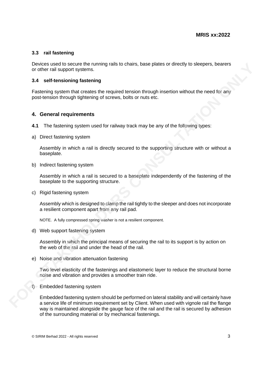### **3.3 rail fastening**

Devices used to secure the running rails to chairs, base plates or directly to sleepers, bearers or other rail support systems.

### **3.4 self-tensioning fastening**

Fastening system that creates the required tension through insertion without the need for any post-tension through tightening of screws, bolts or nuts etc.

### **4. General requirements**

- **4.1** The fastening system used for railway track may be any of the following types:
- a) Direct fastening system

Assembly in which a rail is directly secured to the supporting structure with or without a baseplate.

b) Indirect fastening system

Assembly in which a rail is secured to a baseplate independently of the fastening of the baseplate to the supporting structure.

c) Rigid fastening system

Assembly which is designed to clamp the rail tightly to the sleeper and does not incorporate a resilient component apart from any rail pad.

NOTE. A fully compressed spring washer is not a resilient component.

d) Web support fastening system

Assembly in which the principal means of securing the rail to its support is by action on the web of the rail and under the head of the rail.

e) Noise and vibration attenuation fastening

Two level elasticity of the fastenings and elastomeric layer to reduce the structural borne noise and vibration and provides a smoother train ride.

f) Embedded fastening system

Embedded fastening system should be performed on lateral stability and will certainly have a service life of minimum requirement set by Client. When used with vignole rail the flange way is maintained alongside the gauge face of the rail and the rail is secured by adhesion of the surrounding material or by mechanical fastenings. **Bevices used to secure the tunning rails to chairs, base plates or directly to sleepers, bearers<br>
or other rail support systeming<br>
<b>Fastering** system materates the required tension through insertion without the need for a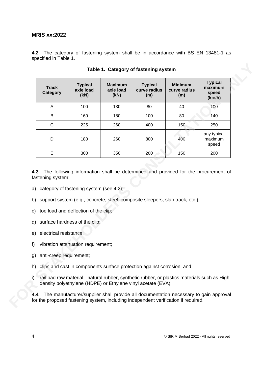**4.2** The category of fastening system shall be in accordance with BS EN 13481-1 as specified in Table 1.

| <b>Track</b><br><b>Category</b> | <b>Typical</b><br>axle load<br>(kN)                                                                                                                                                                              | <b>Maximum</b><br>axle load<br>(kN) | <b>Typical</b><br>curve radius<br>(m) | <b>Minimum</b><br>curve radius<br>(m) | <b>Typical</b><br>maximum<br>speed<br>(km/h) |
|---------------------------------|------------------------------------------------------------------------------------------------------------------------------------------------------------------------------------------------------------------|-------------------------------------|---------------------------------------|---------------------------------------|----------------------------------------------|
| A                               | 100                                                                                                                                                                                                              | 130                                 | 80                                    | 40                                    | 100                                          |
| B                               | 160                                                                                                                                                                                                              | 180                                 | 100                                   | 80                                    | 140                                          |
| C                               | 225                                                                                                                                                                                                              | 260                                 | 400                                   | 150                                   | 250                                          |
| D                               | 180                                                                                                                                                                                                              | 260                                 | 800                                   | 400                                   | any typical<br>maximum<br>speed              |
| E                               | 300                                                                                                                                                                                                              | 350                                 | 200                                   | 150                                   | 200                                          |
| 4.3<br>fastening system:<br>b)  | The following information shall be determined and provided for the procurement of<br>a) category of fastening system (see 4.2);<br>support system (e.g., concrete, steel, composite sleepers, slab track, etc.); |                                     |                                       |                                       |                                              |
| electrical resistance;<br>e)    | c) toe load and deflection of the clip;<br>d) surface hardness of the clip;                                                                                                                                      |                                     |                                       |                                       |                                              |
|                                 | vibration attenuation requirement;                                                                                                                                                                               |                                     |                                       |                                       |                                              |
|                                 | anti-creep requirement;                                                                                                                                                                                          |                                     |                                       |                                       |                                              |
| f<br>g)                         | h) clips and cast in components surface protection against corrosion; and                                                                                                                                        |                                     |                                       |                                       |                                              |

**Table 1. Category of fastening system**

- a) category of fastening system (see 4.2);
- b) support system (e.g., concrete, steel, composite sleepers, slab track, etc.);
- c) toe load and deflection of the clip;
- d) surface hardness of the clip;
- e) electrical resistance;
- f) vibration attenuation requirement;
- g) anti-creep requirement;
- h) clips and cast in components surface protection against corrosion; and
- i) rail pad raw material natural rubber, synthetic rubber, or plastics materials such as Highdensity polyethylene (HDPE) or Ethylene vinyl acetate (EVA).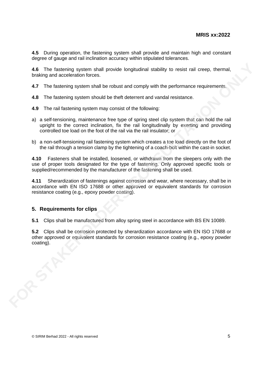**4.5** During operation, the fastening system shall provide and maintain high and constant degree of gauge and rail inclination accuracy within stipulated tolerances.

**4.6** The fastening system shall provide longitudinal stability to resist rail creep, thermal, braking and acceleration forces.

**4.7** The fastening system shall be robust and comply with the performance requirements.

- **4.8** The fastening system should be theft deterrent and vandal resistance.
- **4.9** The rail fastening system may consist of the following:
- a) a self-tensioning, maintenance free type of spring steel clip system that can hold the rail upright to the correct inclination, fix the rail longitudinally by exerting and providing controlled toe load on the foot of the rail via the rail insulator; or
- b) a non-self-tensioning rail fastening system which creates a toe load directly on the foot of the rail through a tension clamp by the tightening of a coach-bolt within the cast-in socket.

**4.10** Fasteners shall be installed, loosened, or withdrawn from the sleepers only with the use of proper tools designated for the type of fastening. Only approved specific tools or supplied/recommended by the manufacturer of the fastening shall be used.

**4.11** Sherardization of fastenings against corrosion and wear, where necessary, shall be in accordance with EN ISO 17688 or other approved or equivalent standards for corrosion resistance coating (e.g., epoxy powder coating). 4.6 The lastening system shall provide longitudinal stability to resist rail creep, thermal,<br>braking and acceleration forces.<br>4.7 The fastening system should be theft deterrent and vandal resistance.<br>4.8 The fastening syst

### **5. Requirements for clips**

**5.1** Clips shall be manufactured from alloy spring steel in accordance with BS EN 10089.

**5.2** Clips shall be corrosion protected by sherardization accordance with EN ISO 17688 or other approved or equivalent standards for corrosion resistance coating (e.g., epoxy powder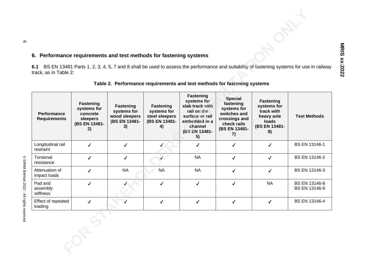### **6. Performance requirements and test methods for fastening systems**

| 6. Performance requirements and test methods for fastening systems<br>BS EN 13481 Parts 1, 2, 3, 4, 5, 7 and 8 shall be used to assess the performance and suitability of fastening systems for use in railway<br>6.1<br>track, as in Table 2: |                                                                                |                                                                          |                                                                   |                                                                                                                                  |                                                                                                                   |                                                                                             |                                |  |
|------------------------------------------------------------------------------------------------------------------------------------------------------------------------------------------------------------------------------------------------|--------------------------------------------------------------------------------|--------------------------------------------------------------------------|-------------------------------------------------------------------|----------------------------------------------------------------------------------------------------------------------------------|-------------------------------------------------------------------------------------------------------------------|---------------------------------------------------------------------------------------------|--------------------------------|--|
|                                                                                                                                                                                                                                                |                                                                                | Table 2. Performance requirements and test methods for fastening systems |                                                                   |                                                                                                                                  |                                                                                                                   |                                                                                             |                                |  |
| Performance<br><b>Requirements</b>                                                                                                                                                                                                             | <b>Fastening</b><br>systems for<br>concrete<br>sleepers<br>(BS EN 13481-<br>2) | <b>Fastening</b><br>systems for<br>wood sleepers<br>(BS EN 13481-<br>3)  | Fastening<br>systems for<br>steel sleepers<br>(BS EN 13481-<br>4) | Fastening<br>systems for<br>slab track with<br>rail on the<br>surface or rail<br>embedded in a<br>channel<br>(BS EN 13481-<br>5) | <b>Special</b><br>fastening<br>systems for<br>switches and<br>crossings and<br>check rails<br>(BS EN 13481-<br>7) | <b>Fastening</b><br>systems for<br>track with<br>heavy axle<br>loads<br>(BS EN 13481-<br>8) | <b>Test Methods</b>            |  |
| Longitudinal rail<br>restraint                                                                                                                                                                                                                 | $\checkmark$                                                                   | $\checkmark$                                                             | ✓                                                                 | ✓                                                                                                                                | $\checkmark$                                                                                                      | $\checkmark$                                                                                | BS EN 13146-1                  |  |
| Torsional<br>resistance                                                                                                                                                                                                                        | $\checkmark$                                                                   | $\checkmark$                                                             | $\sqrt{2}$                                                        | <b>NA</b>                                                                                                                        | $\checkmark$                                                                                                      | $\checkmark$                                                                                | BS EN 13146-2                  |  |
| Attenuation of<br>impact loads                                                                                                                                                                                                                 | $\checkmark$                                                                   | <b>NA</b>                                                                | <b>NA</b>                                                         | <b>NA</b>                                                                                                                        | $\checkmark$                                                                                                      | $\checkmark$                                                                                | BS EN 13146-3                  |  |
| Pad and<br>assembly<br>stiffness                                                                                                                                                                                                               | $\checkmark$                                                                   |                                                                          | $\checkmark$                                                      | $\checkmark$                                                                                                                     | ✓                                                                                                                 | <b>NA</b>                                                                                   | BS EN 13146-8<br>BS EN 13146-9 |  |
| Effect of repeated<br>loading                                                                                                                                                                                                                  | $\checkmark$                                                                   |                                                                          | ✓                                                                 | $\checkmark$                                                                                                                     | $\checkmark$                                                                                                      | $\checkmark$                                                                                | BS EN 13146-4                  |  |
|                                                                                                                                                                                                                                                | $\frac{1}{2}$                                                                  |                                                                          |                                                                   |                                                                                                                                  |                                                                                                                   |                                                                                             |                                |  |

### **Table 2. Performance requirements and test methods for fastening systems**

©<br>SIRIM Berhad 2022 - All rights reserved

თ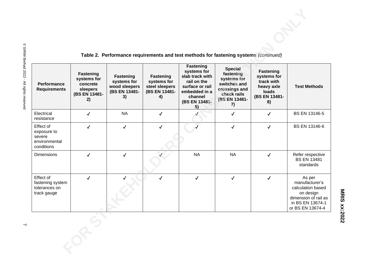| Performance<br><b>Requirements</b>                                | <b>Fastening</b><br>systems for<br>concrete<br>sleepers<br>(BS EN 13481-<br>2) | <b>Fastening</b><br>systems for<br>wood sleepers<br>(BS EN 13481-<br>3) | <b>Fastening</b><br>systems for<br>steel sleepers<br>(BS EN 13481-<br>4) | Table 2. Performance requirements and test methods for fastening systems (continued)<br><b>Fastening</b><br>systems for<br>slab track with<br>rail on the<br>surface or rail<br>embedded in a<br>channel<br>(BS EN 13481-<br>5) | <b>Special</b><br>fastening<br>systems for<br>switches and<br>crossings and<br>check rails<br>(BS EN 13481-<br>7) | <b>Fastening</b><br>systems for<br>track with<br>heavy axle<br>loads<br>(BS EN 13481-<br>8) | <b>Test Methods</b>                                                                                                        |
|-------------------------------------------------------------------|--------------------------------------------------------------------------------|-------------------------------------------------------------------------|--------------------------------------------------------------------------|---------------------------------------------------------------------------------------------------------------------------------------------------------------------------------------------------------------------------------|-------------------------------------------------------------------------------------------------------------------|---------------------------------------------------------------------------------------------|----------------------------------------------------------------------------------------------------------------------------|
| Electrical<br>resistance                                          | $\checkmark$                                                                   | <b>NA</b>                                                               | $\checkmark$                                                             |                                                                                                                                                                                                                                 | $\checkmark$                                                                                                      | $\checkmark$                                                                                | BS EN 13146-5                                                                                                              |
| Effect of<br>exposure to<br>severe<br>environmental<br>conditions | $\checkmark$                                                                   | $\checkmark$                                                            | $\checkmark$                                                             |                                                                                                                                                                                                                                 | $\checkmark$                                                                                                      | $\checkmark$                                                                                | BS EN 13146-6                                                                                                              |
| <b>Dimensions</b>                                                 | $\checkmark$                                                                   | ✓                                                                       |                                                                          | <b>NA</b>                                                                                                                                                                                                                       | <b>NA</b>                                                                                                         | $\checkmark$                                                                                | Refer respective<br><b>BS EN 13481</b><br>standards                                                                        |
| Effect of<br>fastening system<br>tolerances on<br>track gauge     | $\checkmark$                                                                   |                                                                         | $\checkmark$                                                             | $\checkmark$                                                                                                                                                                                                                    | $\checkmark$                                                                                                      | $\checkmark$                                                                                | As per<br>manufacturer's<br>calculation based<br>on design<br>dimension of rail as<br>in BS EN 13674-1<br>or BS EN 13674-4 |
|                                                                   |                                                                                |                                                                         |                                                                          |                                                                                                                                                                                                                                 |                                                                                                                   |                                                                                             |                                                                                                                            |

### **Table 2. Performance requirements and test methods for fastening systems** *(continued)*

**MRIS xx:2022**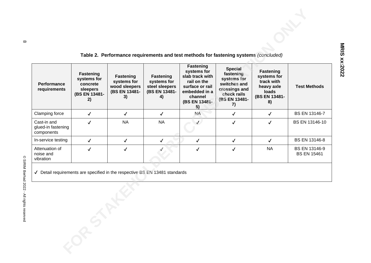### **Table 2. Performance requirements and test methods for fastening systems** *(concluded)*

|                                                                                               |                                                                         |                                                                         |                                                                   | Table 2. Performance requirements and test methods for fastening systems (concluded)                                             |                                                                                                                   |                                                                                      |                                     |  |
|-----------------------------------------------------------------------------------------------|-------------------------------------------------------------------------|-------------------------------------------------------------------------|-------------------------------------------------------------------|----------------------------------------------------------------------------------------------------------------------------------|-------------------------------------------------------------------------------------------------------------------|--------------------------------------------------------------------------------------|-------------------------------------|--|
| Performance<br>requirements                                                                   | Fastening<br>systems for<br>concrete<br>sleepers<br>(BS EN 13481-<br>2) | <b>Fastening</b><br>systems for<br>wood sleepers<br>(BS EN 13481-<br>3) | Fastening<br>systems for<br>steel sleepers<br>(BS EN 13481-<br>4) | Fastening<br>systems for<br>slab track with<br>rail on the<br>surface or rail<br>embedded in a<br>channel<br>(BS EN 13481-<br>5) | <b>Special</b><br>fastening<br>systems for<br>switches and<br>crossings and<br>check rails<br>(BS EN 13481-<br>7) | Fastening<br>systems for<br>track with<br>heavy axle<br>loads<br>(BS EN 13481-<br>8) | <b>Test Methods</b>                 |  |
| Clamping force                                                                                | $\checkmark$                                                            | $\checkmark$                                                            | $\checkmark$                                                      | <b>NA</b>                                                                                                                        | $\checkmark$                                                                                                      | $\checkmark$                                                                         | BS EN 13146-7                       |  |
| Cast-in and<br>glued-in fastening<br>components                                               | $\checkmark$                                                            | <b>NA</b>                                                               | <b>NA</b>                                                         |                                                                                                                                  | $\checkmark$                                                                                                      | $\checkmark$                                                                         | BS EN 13146-10                      |  |
| In-service testing                                                                            | $\checkmark$                                                            | $\checkmark$                                                            | $\checkmark$                                                      | $\checkmark$                                                                                                                     | $\checkmark$                                                                                                      | $\checkmark$                                                                         | BS EN 13146-8                       |  |
| Attenuation of<br>noise and<br>vibration                                                      | ✓                                                                       | $\checkmark$                                                            |                                                                   | $\checkmark$                                                                                                                     | $\checkmark$                                                                                                      | <b>NA</b>                                                                            | BS EN 13146-9<br><b>BS EN 15461</b> |  |
| √ Detail requirements are specified in the respective BS EN 13481 standards<br><b>.08-512</b> |                                                                         |                                                                         |                                                                   |                                                                                                                                  |                                                                                                                   |                                                                                      |                                     |  |
|                                                                                               |                                                                         |                                                                         |                                                                   |                                                                                                                                  |                                                                                                                   |                                                                                      |                                     |  |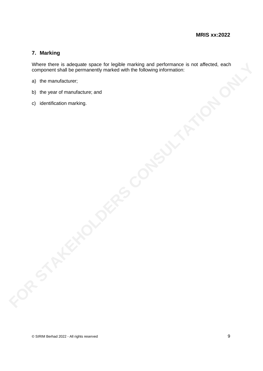### **7. Marking**

Where there is adequate space for legible marking and performance is not affected, each component shall be permanently marked with the following information: Where there is a skequate space for legible marking and performances is not affected, each<br>component shall be permanently marked with the following information:<br>a) the manufacture;<br>b) the year of manufacture; and<br>c) identi

- a) the manufacturer;
- b) the year of manufacture; and
- c) identification marking.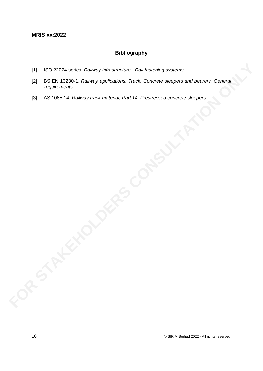### **Bibliography**

- [1] ISO 22074 series, *Railway infrastructure - Rail fastening systems*
- [2] BS EN 13230-1, *Railway applications. Track. Concrete sleepers and bearers. General requirements* EXAMPLE DE SEN 13230-71, *Railway infrastructure - Rail festering systems*<br>
13] BS EN 13230-1, *Railway applications. Track. Concrete sleepers and bearens. General*<br>
13] AS 1085.14, *Railway track material, Part 14: Prestr* 
	-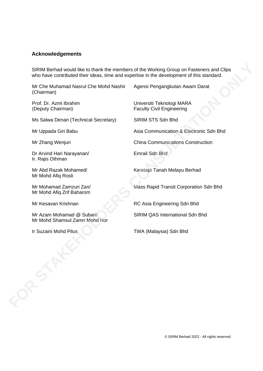### **Acknowledgements**

SIRIM Berhad would like to thank the members of the Working Group on Fasteners and Clips who have contributed their ideas, time and expertise in the development of this standard. SIRIM Berhad would like to thank the members of the Working Group on Fasteners and Clips<br>who have controluded heir ideas, time and experises in the development of this standard.<br>
(Chairman)<br>
Mc Che Muhamad Nasrul Che Mohd

Mr Che Muhamad Nasrul Che Mohd Nashir (Chairman)

Prof. Dr. Azmi Ibrahim (Deputy Chairman)

Ms Salwa Denan (Technical Secretary) SIRIM STS Sdn Bhd

Dr Arvind Hari Narayanan/ Ir. Rajis Othman

Mr Abd Razak Mohamed/ Mr Mohd Afiq Rosli

Mr Mohamad Zamzuri Zan/ Mr Mohd Afiq Zrif Baharom

Mr Azam Mohamad @ Subari/ Mr Mohd Shamsul Zamri Mohd Nor

Agensi Pengangkutan Awam Darat

Universiti Teknologi MARA Faculty Civil Engineering

Mr Uppada Giri Babu **Asia Communication & Electronic Sdn Bhd** 

Mr Zhang Wenjun **China Communications Construction** 

Emrail Sdn Bhd

Keretapi Tanah Melayu Berhad

Mass Rapid Transit Corporation Sdn Bhd

Mr Kesavan Krishnan RC Asia Engineering Sdn Bhd

SIRIM QAS International Sdn Bhd

© SIRIM Berhad 2022 - All rights reserved